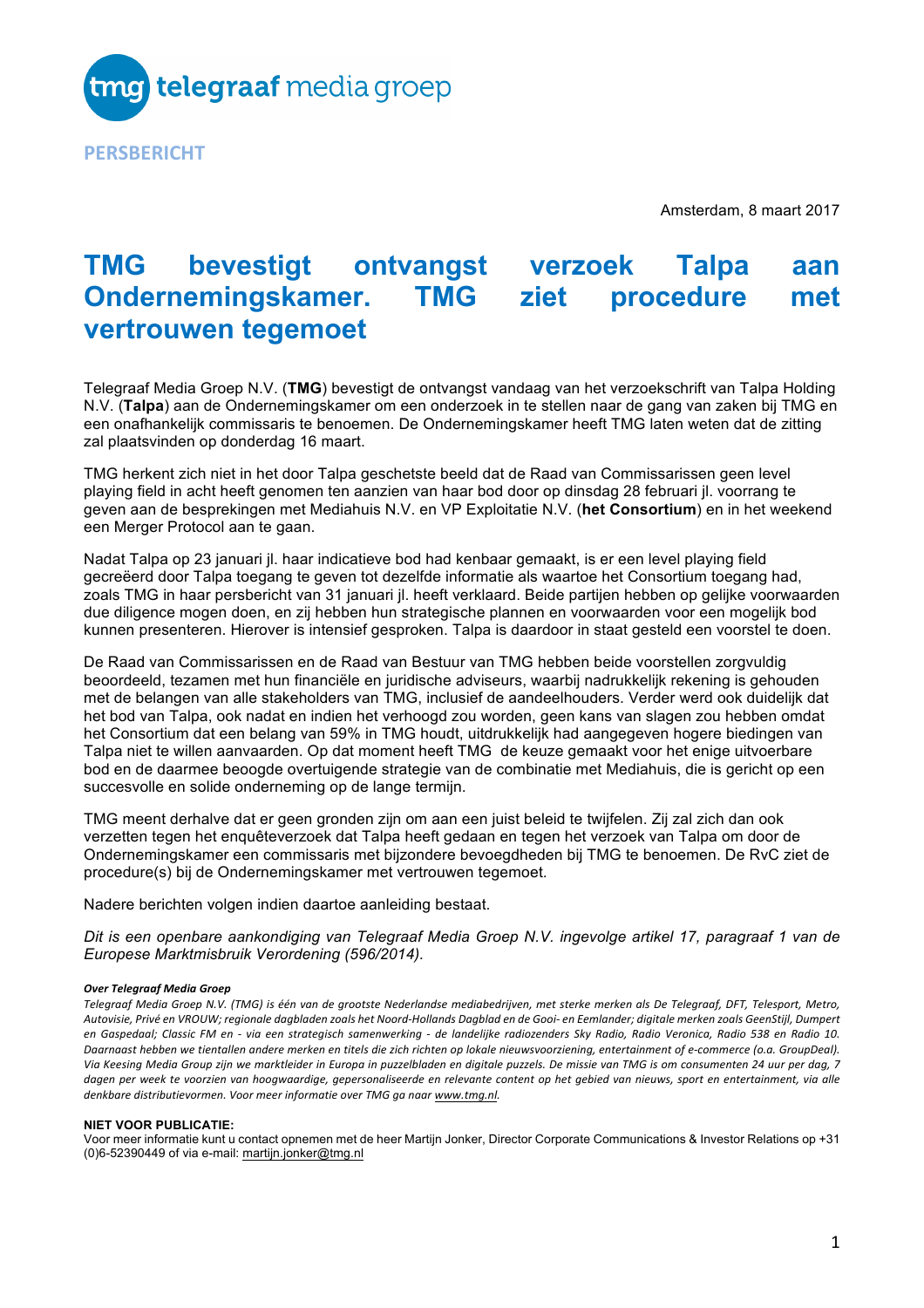

Amsterdam, 8 maart 2017

# **TMG bevestigt ontvangst verzoek Talpa aan Ondernemingskamer. TMG ziet procedure met vertrouwen tegemoet**

Telegraaf Media Groep N.V. (**TMG**) bevestigt de ontvangst vandaag van het verzoekschrift van Talpa Holding N.V. (**Talpa**) aan de Ondernemingskamer om een onderzoek in te stellen naar de gang van zaken bij TMG en een onafhankelijk commissaris te benoemen. De Ondernemingskamer heeft TMG laten weten dat de zitting zal plaatsvinden op donderdag 16 maart.

TMG herkent zich niet in het door Talpa geschetste beeld dat de Raad van Commissarissen geen level playing field in acht heeft genomen ten aanzien van haar bod door op dinsdag 28 februari jl. voorrang te geven aan de besprekingen met Mediahuis N.V. en VP Exploitatie N.V. (**het Consortium**) en in het weekend een Merger Protocol aan te gaan.

Nadat Talpa op 23 januari jl. haar indicatieve bod had kenbaar gemaakt, is er een level playing field gecreëerd door Talpa toegang te geven tot dezelfde informatie als waartoe het Consortium toegang had, zoals TMG in haar persbericht van 31 januari jl. heeft verklaard. Beide partijen hebben op gelijke voorwaarden due diligence mogen doen, en zij hebben hun strategische plannen en voorwaarden voor een mogelijk bod kunnen presenteren. Hierover is intensief gesproken. Talpa is daardoor in staat gesteld een voorstel te doen.

De Raad van Commissarissen en de Raad van Bestuur van TMG hebben beide voorstellen zorgvuldig beoordeeld, tezamen met hun financiële en juridische adviseurs, waarbij nadrukkelijk rekening is gehouden met de belangen van alle stakeholders van TMG, inclusief de aandeelhouders. Verder werd ook duidelijk dat het bod van Talpa, ook nadat en indien het verhoogd zou worden, geen kans van slagen zou hebben omdat het Consortium dat een belang van 59% in TMG houdt, uitdrukkelijk had aangegeven hogere biedingen van Talpa niet te willen aanvaarden. Op dat moment heeft TMG de keuze gemaakt voor het enige uitvoerbare bod en de daarmee beoogde overtuigende strategie van de combinatie met Mediahuis, die is gericht op een succesvolle en solide onderneming op de lange termijn.

TMG meent derhalve dat er geen gronden zijn om aan een juist beleid te twijfelen. Zij zal zich dan ook verzetten tegen het enquêteverzoek dat Talpa heeft gedaan en tegen het verzoek van Talpa om door de Ondernemingskamer een commissaris met bijzondere bevoegdheden bij TMG te benoemen. De RvC ziet de procedure(s) bij de Ondernemingskamer met vertrouwen tegemoet.

Nadere berichten volgen indien daartoe aanleiding bestaat.

*Dit is een openbare aankondiging van Telegraaf Media Groep N.V. ingevolge artikel 17, paragraaf 1 van de Europese Marktmisbruik Verordening (596/2014).*

### *Over Telegraaf Media Groep*

Telegraaf Media Groep N.V. (TMG) is één van de grootste Nederlandse mediabedrijven, met sterke merken als De Telegraaf, DFT, Telesport, Metro, Autovisie, Privé en VROUW; regionale dagbladen zoals het Noord-Hollands Dagblad en de Gooi- en Eemlander; digitale merken zoals GeenStijl, Dumpert en Gaspedaal: Classic FM en - via een strateaisch samenwerkina - de landeliike radiozenders Skv Radio, Radio Veronica, Radio 538 en Radio 10, Daarnaast hebben we tientallen andere merken en titels die zich richten op lokale nieuwsvoorziening, entertainment of e-commerce (o.a. GroupDeal). Via Keesina Media Group ziin we marktleider in Europa in puzzelbladen en diaitale puzzels. De missie van TMG is om consumenten 24 uur per daa. 7 dagen per week te voorzien van hoogwaardige, gepersonaliseerde en relevante content op het gebied van nieuws, sport en entertainment, via alle *denkbare distributievormen. Voor meer informatie over TMG ga naar www.tmg.nl.*

### **NIET VOOR PUBLICATIE:**

Voor meer informatie kunt u contact opnemen met de heer Martijn Jonker, Director Corporate Communications & Investor Relations op +31 (0)6-52390449 of via e-mail: martijn.jonker@tmg.nl